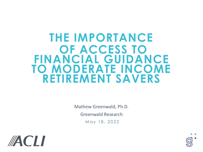# **THE IMPORTANCE OF ACCESS TO FINANCIAL GUIDANCE TO MODERATE INCOME RETIREMENT SAVERS**

Mathew Greenwald, Ph.D. Greenwald Research May 18, 2022



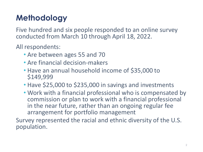## **Methodology**

Five hundred and six people responded to an online survey conducted from March 10 through April 18, 2022.

All respondents:

- Are between ages 55 and 70
- Are financial decision-makers
- Have an annual household income of \$35,000 to \$149,999
- Have \$25,000 to \$235,000 in savings and investments
- Work with a financial professional who is compensated by commission or plan to work with a financial professional in the near future, rather than an ongoing regular fee arrangement for portfolio management

Survey represented the racial and ethnic diversity of the U.S. population.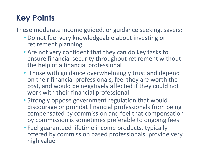## **Key Points**

These moderate income guided, or guidance seeking, savers:

- Do not feel very knowledgeable about investing or retirement planning
- Are not very confident that they can do key tasks to ensure financial security throughout retirement without the help of a financial professional
- Those with guidance overwhelmingly trust and depend on their financial professionals, feel they are worth the cost, and would be negatively affected if they could not work with their financial professional
- Strongly oppose government regulation that would discourage or prohibit financial professionals from being compensated by commission and feel that compensation by commission is sometimes preferable to ongoing fees
- Feel guaranteed lifetime income products, typically offered by commission based professionals, provide very high value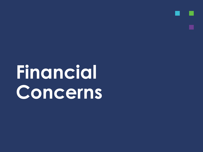**Financial Concerns**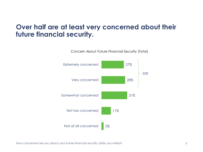### **Over half are at least very concerned about their future financial security.**



How concerned are you about your future financial security (after you retire)?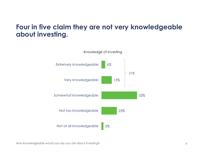## **Four in five claim they are not very knowledgeable about investing.**



How knowledgeable would you say you are about investing?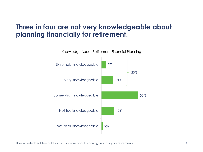## **Three in four are not very knowledgeable about planning financially for retirement.**



How knowledgeable would you say you are about planning financially for retirement?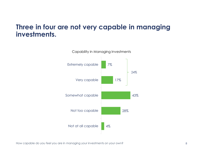#### **Three in four are not very capable in managing investments.**



How capable do you feel you are in managing your investments on your own?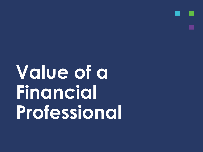**Value of a Financial Professional**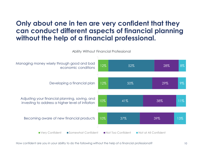#### **Only about one in ten are very confident that they can conduct different aspects of financial planning without the help of a financial professional.**

Ability Without Financial Professional



How confident are you in your ability to do the following without the help of a financial professional?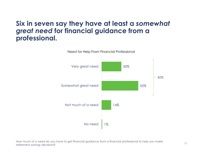#### **Six in seven say they have at least a** *somewhat great need* **for financial guidance from a professional.**



Need for Help From Financial Professional

How much of a need do you have to get financial guidance from a financial professional to help you make retirement savings decisions?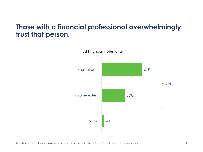#### **Those with a financial professional overwhelmingly trust that person.**

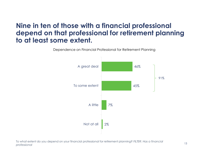#### **Nine in ten of those with a financial professional depend on that professional for retirement planning to at least some extent.**

Dependence on Financial Professional for Retirement Planning



To what extent do you depend on your financial professional for retirement planning? *FILTER: Has a financial professional*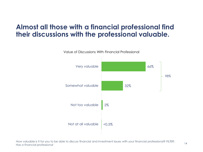## **Almost all those with a financial professional find their discussions with the professional valuable.**



Value of Discussions With Financial Professional

How valuable is it for you to be able to discuss financial and investment issues with your financial professional? *FILTER: Has a financial professional*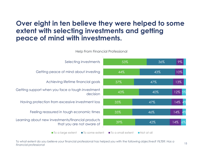#### **Over eight in ten believe they were helped to some extent with selecting investments and getting peace of mind with investments.**

Help From Financial Professional



To what extent do you believe your financial professional has helped you with the following objectives? *FILTER: Has a financial professional* <sup>15</sup>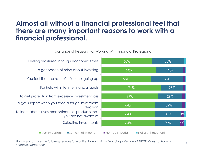### **Almost all without a financial professional feel that there are many important reasons to work with a financial professional.**

Importance of Reasons For Working With Financial Professional



How important are the following reasons for wanting to work with a financial professional? FILTER: *Does not have a financial professional* <sup>16</sup>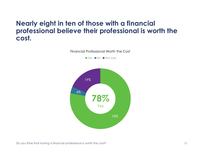#### **Nearly eight in ten of those with a financial professional believe their professional is worth the cost.**

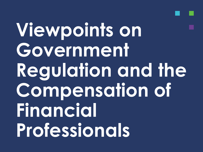**Viewpoints on Government Regulation and the Compensation of Financial Professionals**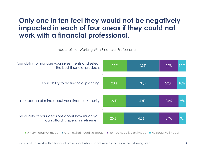#### **Only one in ten feel they would not be negatively impacted in each of four areas if they could not work with a financial professional.**

Impact of Not Working With Financial Professional



■ A very negative impact ■ A somewhat negative impact ■ Not too negative an impact ■ No negative impact

If you could not work with a financial professional what impact would it have on the following areas: 19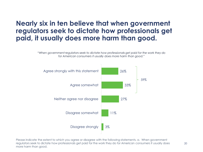#### **Nearly six in ten believe that when government regulators seek to dictate how professionals get paid, it usually does more harm than good.**

*"When government regulators seek to dictate how professionals get paid for the work they do for American consumers it usually does more harm than good."*



Please indicate the extent to which you agree or disagree with the following statements. a. When government regulators seek to dictate how professionals get paid for the work they do for American consumers it usually does more harm than good.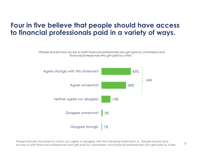#### **Four in five believe that people should have access to financial professionals paid in a variety of ways.**

*"People should have access to both financial professionals who get paid by commission and financial professionals who get paid by a fee."*



Please indicate the extent to which you agree or disagree with the following statements. b. People should have access to both financial professionals who get paid by commission and financial professionals who get paid by a fee.

21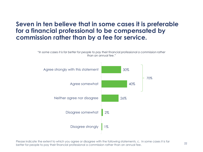#### **Seven in ten believe that in some cases it is preferable for a financial professional to be compensated by commission rather than by a fee for service.**

*"In some cases it is far better for people to pay their financial professional a commission rather than an annual fee."*



Please indicate the extent to which you agree or disagree with the following statements. c. In some cases it is far better for people to pay their financial professional a commission rather than an annual fee.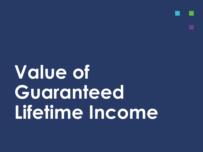# **Value of Guaranteed Lifetime Income**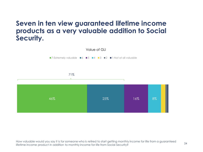#### **Seven in ten view guaranteed lifetime income products as a very valuable addition to Social Security.**



How valuable would you say it is for someone who is retired to start getting monthly income for life from a guaranteed lifetime income product in addition to monthly income for life from Social Security?